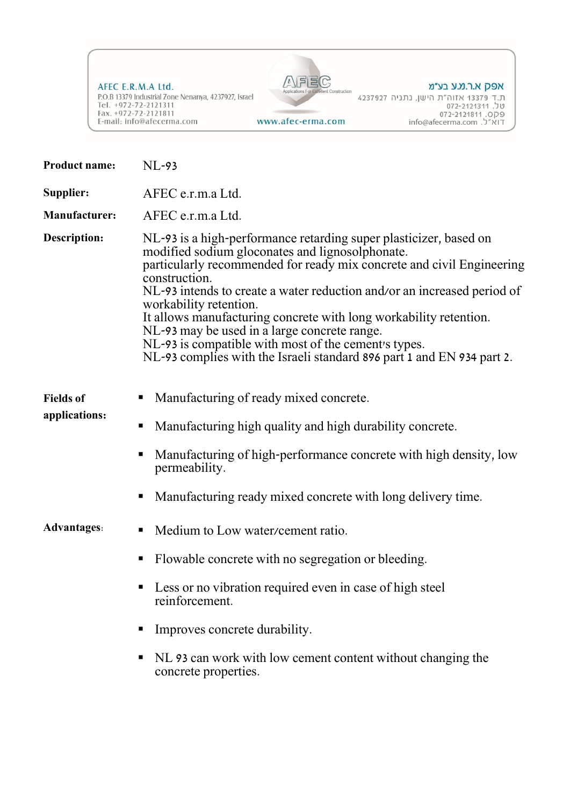AFEC E.R.M.A Ltd. P.O.B 13379 Industrial Zone Nenanya, 4237927, Israel Tel. +972-72-2121311<br>Tel. +972-72-2121311<br>Fax. +972-72-2121811<br>E-mail: info@afecerma.com www.afec-erma.com



uction

## אפק א.ר.מ.ע בע״מ

ת. ד- 13379 אזוה"ת הישן, נתניה 4237927<br>על. 13379-2121311 072-2121311<br>על. 072-2121811 info@afecerma.com

| <b>Product name:</b>              | $NL-93$                                                                                                                                                                                                                                                                                                                                                                                                                                                                                                                                                                    |  |
|-----------------------------------|----------------------------------------------------------------------------------------------------------------------------------------------------------------------------------------------------------------------------------------------------------------------------------------------------------------------------------------------------------------------------------------------------------------------------------------------------------------------------------------------------------------------------------------------------------------------------|--|
| Supplier:                         | AFEC e.r.m.a Ltd.                                                                                                                                                                                                                                                                                                                                                                                                                                                                                                                                                          |  |
| <b>Manufacturer:</b>              | AFEC e.r.m.a Ltd.                                                                                                                                                                                                                                                                                                                                                                                                                                                                                                                                                          |  |
| <b>Description:</b>               | NL-93 is a high-performance retarding super plasticizer, based on<br>modified sodium gloconates and lignosolphonate.<br>particularly recommended for ready mix concrete and civil Engineering<br>construction.<br>NL-93 intends to create a water reduction and/or an increased period of<br>workability retention.<br>It allows manufacturing concrete with long workability retention.<br>NL-93 may be used in a large concrete range.<br>NL-93 is compatible with most of the cement's types.<br>NL-93 complies with the Israeli standard 896 part 1 and EN 934 part 2. |  |
| <b>Fields</b> of<br>applications: | Manufacturing of ready mixed concrete.<br>п<br>Manufacturing high quality and high durability concrete.<br>п<br>Manufacturing of high-performance concrete with high density, low<br>permeability.<br>Manufacturing ready mixed concrete with long delivery time.<br>п                                                                                                                                                                                                                                                                                                     |  |
| <b>Advantages:</b>                | Medium to Low water/cement ratio.<br>ш<br>Flowable concrete with no segregation or bleeding.<br>п                                                                                                                                                                                                                                                                                                                                                                                                                                                                          |  |
|                                   | Less or no vibration required even in case of high steel<br>reinforcement.<br>Improves concrete durability.<br>NL 93 can work with low cement content without changing the<br>п<br>concrete properties.                                                                                                                                                                                                                                                                                                                                                                    |  |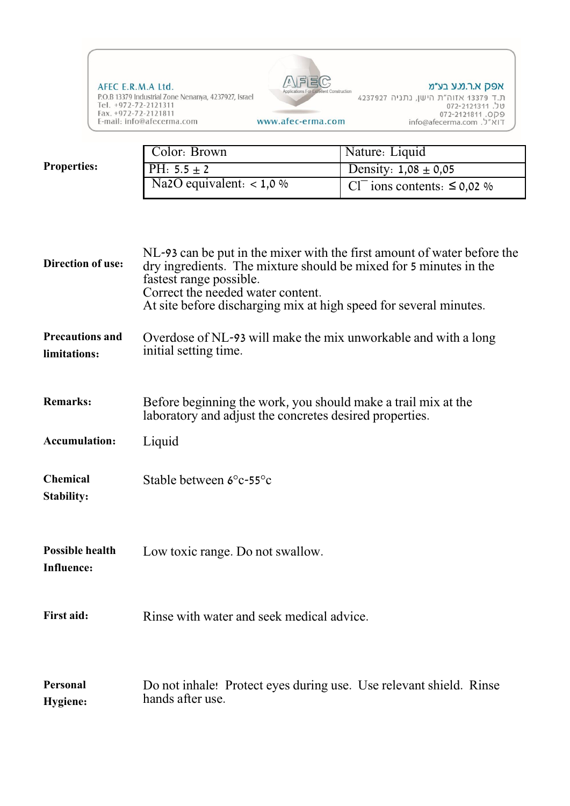

|                    | Color: Brown               | Nature: Liquid                               |
|--------------------|----------------------------|----------------------------------------------|
| <b>Properties:</b> | PH: $5.5 \pm 2$            | Density: $1,08 \pm 0,05$                     |
|                    | Na2O equivalent: $< 1,0\%$ | Cl <sup>-</sup> ions contents: $\leq$ 0,02 % |

| <b>Direction of use:</b>                    | NL-93 can be put in the mixer with the first amount of water before the<br>dry ingredients. The mixture should be mixed for 5 minutes in the<br>fastest range possible.<br>Correct the needed water content.<br>At site before discharging mix at high speed for several minutes. |  |
|---------------------------------------------|-----------------------------------------------------------------------------------------------------------------------------------------------------------------------------------------------------------------------------------------------------------------------------------|--|
| <b>Precautions and</b><br>limitations:      | Overdose of NL-93 will make the mix unworkable and with a long<br>initial setting time.                                                                                                                                                                                           |  |
| <b>Remarks:</b>                             | Before beginning the work, you should make a trail mix at the<br>laboratory and adjust the concretes desired properties.                                                                                                                                                          |  |
| <b>Accumulation:</b>                        | Liquid                                                                                                                                                                                                                                                                            |  |
| <b>Chemical</b><br><b>Stability:</b>        | Stable between 6°c-55°c                                                                                                                                                                                                                                                           |  |
| <b>Possible health</b><br><b>Influence:</b> | Low toxic range. Do not swallow.                                                                                                                                                                                                                                                  |  |
| <b>First aid:</b>                           | Rinse with water and seek medical advice.                                                                                                                                                                                                                                         |  |
| Personal<br><b>Hygiene:</b>                 | Do not inhale! Protect eyes during use. Use relevant shield. Rinse<br>hands after use.                                                                                                                                                                                            |  |